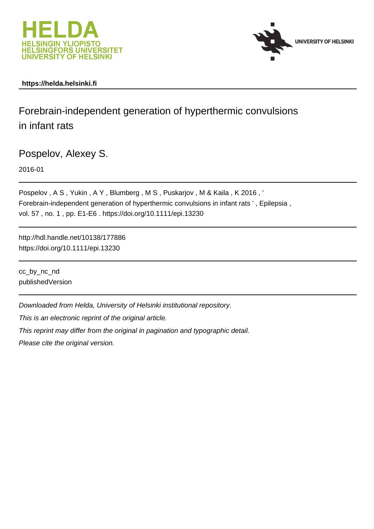



## **https://helda.helsinki.fi**

# Forebrain-independent generation of hyperthermic convulsions in infant rats

Pospelov, Alexey S.

2016-01

Pospelov, A S, Yukin, A Y, Blumberg, M S, Puskarjov, M & Kaila, K 2016, ' Forebrain-independent generation of hyperthermic convulsions in infant rats ' , Epilepsia , vol. 57 , no. 1 , pp. E1-E6 . https://doi.org/10.1111/epi.13230

http://hdl.handle.net/10138/177886 https://doi.org/10.1111/epi.13230

cc\_by\_nc\_nd publishedVersion

Downloaded from Helda, University of Helsinki institutional repository.

This is an electronic reprint of the original article.

This reprint may differ from the original in pagination and typographic detail.

Please cite the original version.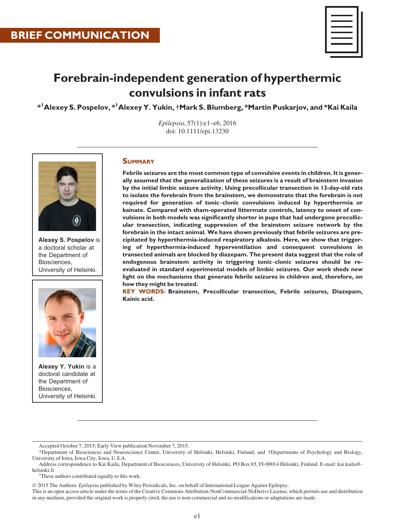

# Forebrain-independent generation of hyperthermic convulsions in infant rats

 $^{\ast}{}^{\textrm{I}}$ Alexey S. Pospelov,  $^{\ast}{}^{\textrm{I}}$ Alexey Y. Yukin, †Mark S. Blumberg,  $^{\ast}$ Martin Puskarjov, and  $^{\ast}$ Kai Kaila

Epilepsia, 57(1):e1–e6, 2016 doi: 10.1111/epi.13230



Alexey S. Pospelov is a doctoral scholar at the Department of Biosciences, University of Helsinki.



Alexey Y. Yukin is a doctoral candidate at the Department of Biosciences, University of Helsinki.

## **SUMMARY**

Febrile seizures are the most common type of convulsive events in children. It is generally assumed that the generalization of these seizures is a result of brainstem invasion by the initial limbic seizure activity. Using precollicular transection in 13-day-old rats to isolate the forebrain from the brainstem, we demonstrate that the forebrain is not required for generation of tonic–clonic convulsions induced by hyperthermia or kainate. Compared with sham-operated littermate controls, latency to onset of convulsions in both models was significantly shorter in pups that had undergone precollicular transection, indicating suppression of the brainstem seizure network by the forebrain in the intact animal. We have shown previously that febrile seizures are precipitated by hyperthermia-induced respiratory alkalosis. Here, we show that triggering of hyperthermia-induced hyperventilation and consequent convulsions in transected animals are blocked by diazepam. The present data suggest that the role of endogenous brainstem activity in triggering tonic–clonic seizures should be reevaluated in standard experimental models of limbic seizures. Our work sheds new light on the mechanisms that generate febrile seizures in children and, therefore, on how they might be treated.

KEY WORDS: Brainstem, Precollicular transection, Febrile seizures, Diazepam, Kainic acid.

<sup>1</sup>These authors contributed equally to this work.

2015 The Authors. Epilepsia published by Wiley Periodicals, Inc. on behalf of International League Against Epilepsy.

This is an open access article under the terms of the [Creative Commons Attribution-NonCommercial-NoDerivs](http://creativecommons.org/licenses/by-nc-nd/4.0/) License, which permits use and distribution in any medium, provided the original work is properly cited, the use is non-commercial and no modifications or adaptations are made.

Accepted October 7, 2015; Early View publication November 7, 2015.

<sup>\*</sup>Department of Biosciences and Neuroscience Center, University of Helsinki, Helsinki, Finland; and †Departments of Psychology and Biology, University of Iowa, Iowa City, Iowa, U.S.A.

Address correspondence to Kai Kaila, Department of Biosciences, University of Helsinki, PO Box 65, FI-00014 Helsinki, Finland. E-mail: kai.kaila@ helsinki.fi <sup>1</sup>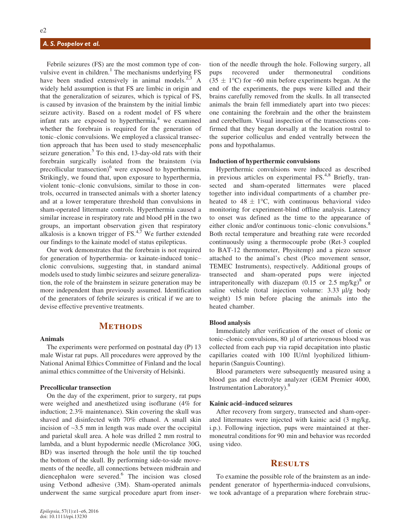## A. S. Pospelov et al.

Febrile seizures (FS) are the most common type of convulsive event in children.<sup>1</sup> The mechanisms underlying FS have been studied extensively in animal models. $2.3$  A widely held assumption is that FS are limbic in origin and that the generalization of seizures, which is typical of FS, is caused by invasion of the brainstem by the initial limbic seizure activity. Based on a rodent model of FS where infant rats are exposed to hyperthermia, $4$  we examined whether the forebrain is required for the generation of tonic–clonic convulsions. We employed a classical transection approach that has been used to study mesencephalic seizure generation. $5$  To this end, 13-day-old rats with their forebrain surgically isolated from the brainstem (via precollicular transection)<sup>6</sup> were exposed to hyperthermia. Strikingly, we found that, upon exposure to hyperthermia, violent tonic–clonic convulsions, similar to those in controls, occurred in transected animals with a shorter latency and at a lower temperature threshold than convulsions in sham-operated littermate controls. Hyperthermia caused a similar increase in respiratory rate and blood pH in the two groups, an important observation given that respiratory alkalosis is a known trigger of FS. $4,7$  We further extended our findings to the kainate model of status epilepticus.

Our work demonstrates that the forebrain is not required for generation of hyperthermia- or kainate-induced tonic– clonic convulsions, suggesting that, in standard animal models used to study limbic seizures and seizure generalization, the role of the brainstem in seizure generation may be more independent than previously assumed. Identification of the generators of febrile seizures is critical if we are to devise effective preventive treatments.

## **METHODS**

#### Animals

The experiments were performed on postnatal day (P) 13 male Wistar rat pups. All procedures were approved by the National Animal Ethics Committee of Finland and the local animal ethics committee of the University of Helsinki.

#### Precollicular transection

On the day of the experiment, prior to surgery, rat pups were weighed and anesthetized using isoflurane (4% for induction; 2.3% maintenance). Skin covering the skull was shaved and disinfected with 70% ethanol. A small skin incision of  $\sim$ 3.5 mm in length was made over the occipital and parietal skull area. A hole was drilled 2 mm rostral to lambda, and a blunt hypodermic needle (Microlance 30G, BD) was inserted through the hole until the tip touched the bottom of the skull. By performing side-to-side movements of the needle, all connections between midbrain and diencephalon were severed.<sup>6</sup> The incision was closed using Vetbond adhesive (3M). Sham-operated animals underwent the same surgical procedure apart from inser-

tion of the needle through the hole. Following surgery, all pups recovered under thermoneutral conditions  $(35 \pm 1^{\circ}C)$  for ~60 min before experiments began. At the end of the experiments, the pups were killed and their brains carefully removed from the skulls. In all transected animals the brain fell immediately apart into two pieces: one containing the forebrain and the other the brainstem and cerebellum. Visual inspection of the transections confirmed that they began dorsally at the location rostral to the superior colliculus and ended ventrally between the pons and hypothalamus.

#### Induction of hyperthermic convulsions

Hyperthermic convulsions were induced as described in previous articles on experimental FS.<sup>4,8</sup> Briefly, transected and sham-operated littermates were placed together into individual compartments of a chamber preheated to  $48 \pm 1$ °C, with continuous behavioral video monitoring for experiment-blind offline analysis. Latency to onset was defined as the time to the appearance of either clonic and/or continuous tonic–clonic convulsions.<sup>8</sup> Both rectal temperature and breathing rate were recorded continuously using a thermocouple probe (Ret-3 coupled to BAT-12 thermometer, Physitemp) and a piezo sensor attached to the animal's chest (Pico movement sensor, TEMEC Instruments), respectively. Additional groups of transected and sham-operated pups were injected intraperitoneally with diazepam  $(0.15 \text{ or } 2.5 \text{ mg/kg})^8$  or saline vehicle (total injection volume:  $3.33 \mu\text{kg}$  body weight) 15 min before placing the animals into the heated chamber.

### Blood analysis

Immediately after verification of the onset of clonic or tonic-clonic convulsions, 80 µl of arteriovenous blood was collected from each pup via rapid decapitation into plastic capillaries coated with 100 IU/ml lyophilized lithiumheparin (Sanguis Counting).

Blood parameters were subsequently measured using a blood gas and electrolyte analyzer (GEM Premier 4000, Instrumentation Laboratory).<sup>8</sup>

#### Kainic acid–induced seizures

After recovery from surgery, transected and sham-operated littermates were injected with kainic acid (3 mg/kg, i.p.). Following injection, pups were maintained at thermoneutral conditions for 90 min and behavior was recorded using video.

## **RESULTS**

To examine the possible role of the brainstem as an independent generator of hyperthermia-induced convulsions, we took advantage of a preparation where forebrain struc-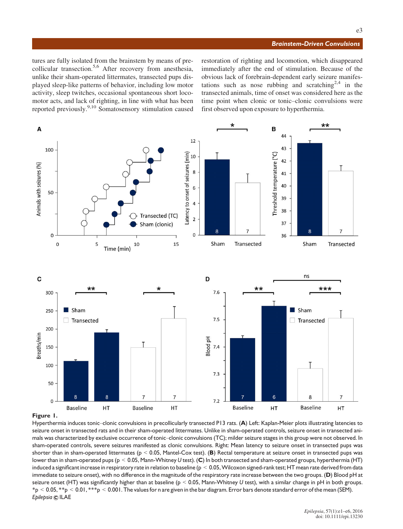#### Brainstem-Driven Convulsions

tures are fully isolated from the brainstem by means of precollicular transection.<sup>5,6</sup> After recovery from anesthesia, unlike their sham-operated littermates, transected pups displayed sleep-like patterns of behavior, including low motor activity, sleep twitches, occasional spontaneous short locomotor acts, and lack of righting, in line with what has been reported previously.9,10 Somatosensory stimulation caused restoration of righting and locomotion, which disappeared immediately after the end of stimulation. Because of the obvious lack of forebrain-dependent early seizure manifestations such as nose rubbing and scratching<sup>2,4</sup> in the transected animals, time of onset was considered here as the time point when clonic or tonic–clonic convulsions were first observed upon exposure to hyperthermia.



Figure 1.

Hyperthermia induces tonic–clonic convulsions in precollicularly transected P13 rats. (A) Left: Kaplan-Meier plots illustrating latencies to seizure onset in transected rats and in their sham-operated littermates. Unlike in sham-operated controls, seizure onset in transected animals was characterized by exclusive occurrence of tonic–clonic convulsions (TC); milder seizure stages in this group were not observed. In sham-operated controls, severe seizures manifested as clonic convulsions. Right: Mean latency to seizure onset in transected pups was shorter than in sham-operated littermates ( $p < 0.05$ , Mantel-Cox test). (B) Rectal temperature at seizure onset in transected pups was lower than in sham-operated pups (p < 0.05, Mann-Whitney U test). (C) In both transected and sham-operated groups, hyperthermia (HT) induced a significant increase in respiratory rate in relation to baseline ( $p < 0.05$ , Wilcoxon signed-rank test; HT mean rate derived from data immediate to seizure onset), with no difference in the magnitude of the respiratory rate increase between the two groups. (D) Blood pH at seizure onset (HT) was significantly higher than at baseline ( $p < 0.05$ , Mann-Whitney U test), with a similar change in pH in both groups.  $*_p$  < 0.05,  $*_p$  < 0.01,  $**_p$  < 0.001. The values for n are given in the bar diagram. Error bars denote standard error of the mean (SEM). Epilepsia © ILAE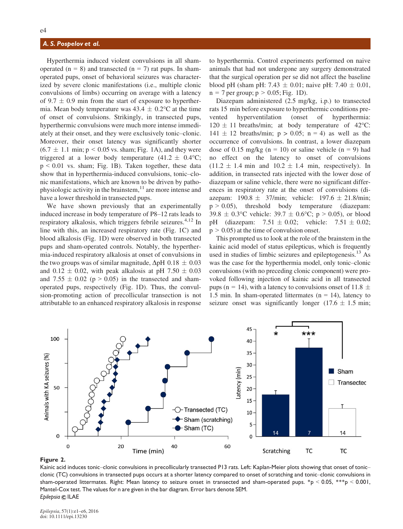### A. S. Pospelov et al.

Hyperthermia induced violent convulsions in all shamoperated ( $n = 8$ ) and transected ( $n = 7$ ) rat pups. In shamoperated pups, onset of behavioral seizures was characterized by severe clonic manifestations (i.e., multiple clonic convulsions of limbs) occurring on average with a latency of 9.7  $\pm$  0.9 min from the start of exposure to hyperthermia. Mean body temperature was  $43.4 \pm 0.2$ °C at the time of onset of convulsions. Strikingly, in transected pups, hyperthermic convulsions were much more intense immediately at their onset, and they were exclusively tonic–clonic. Moreover, their onset latency was significantly shorter  $(6.7 \pm 1.1 \text{ min}; p \leq 0.05 \text{ vs. sham}; Fig. 1A)$ , and they were triggered at a lower body temperature  $(41.2 \pm 0.4^{\circ}\text{C})$ ;  $p \le 0.01$  vs. sham; Fig. 1B). Taken together, these data show that in hyperthermia-induced convulsions, tonic–clonic manifestations, which are known to be driven by pathophysiologic activity in the brainstem, $11$  are more intense and have a lower threshold in transected pups.

We have shown previously that an experimentally induced increase in body temperature of P8–12 rats leads to respiratory alkalosis, which triggers febrile seizures.<sup>4,12</sup> In line with this, an increased respiratory rate (Fig. 1C) and blood alkalosis (Fig. 1D) were observed in both transected pups and sham-operated controls. Notably, the hyperthermia-induced respiratory alkalosis at onset of convulsions in the two groups was of similar magnitude,  $\Delta pH$  0.18  $\pm$  0.03 and  $0.12 \pm 0.02$ , with peak alkalosis at pH 7.50  $\pm$  0.03 and  $7.55 \pm 0.02$  (p > 0.05) in the transected and shamoperated pups, respectively (Fig. 1D). Thus, the convulsion-promoting action of precollicular transection is not attributable to an enhanced respiratory alkalosis in response to hyperthermia. Control experiments performed on naive animals that had not undergone any surgery demonstrated that the surgical operation per se did not affect the baseline blood pH (sham pH: 7.43  $\pm$  0.01; naive pH: 7.40  $\pm$  0.01,  $n = 7$  per group;  $p > 0.05$ ; Fig. 1D).

Diazepam administered (2.5 mg/kg, i.p.) to transected rats 15 min before exposure to hyperthermic conditions prevented hyperventilation (onset of hyperthermia:  $120 \pm 11$  breaths/min; at body temperature of 42°C:  $141 \pm 12$  breaths/min;  $p > 0.05$ ;  $n = 4$ ) as well as the occurrence of convulsions. In contrast, a lower diazepam dose of 0.15 mg/kg ( $n = 10$ ) or saline vehicle ( $n = 9$ ) had no effect on the latency to onset of convulsions  $(11.2 \pm 1.4 \text{ min and } 10.2 \pm 1.4 \text{ min, respectively}).$  In addition, in transected rats injected with the lower dose of diazepam or saline vehicle, there were no significant differences in respiratory rate at the onset of convulsions (diazepam:  $190.8 \pm 37/\text{min}$ ; vehicle:  $197.6 \pm 21.8/\text{min}$ ;  $p > 0.05$ ), threshold body temperature (diazepam:  $39.8 \pm 0.3$ °C vehicle:  $39.7 \pm 0.6$ °C; p > 0.05), or blood<br>pH (diazepam:  $7.51 \pm 0.02$ ; vehicle:  $7.51 \pm 0.02$ ; (diazepam:  $7.51 \pm 0.02$ ; vehicle:  $7.51 \pm 0.02$ ;  $p > 0.05$ ) at the time of convulsion onset.

This prompted us to look at the role of the brainstem in the kainic acid model of status epilepticus, which is frequently used in studies of limbic seizures and epileptogenesis.<sup>13</sup> As was the case for the hyperthermia model, only tonic–clonic convulsions (with no preceding clonic component) were provoked following injection of kainic acid in all transected pups (n = 14), with a latency to convulsions onset of 11.8  $\pm$ 1.5 min. In sham-operated littermates  $(n = 14)$ , latency to seizure onset was significantly longer (17.6  $\pm$  1.5 min;



#### Figure 2.

Kainic acid induces tonic–clonic convulsions in precollicularly transected P13 rats. Left: Kaplan-Meier plots showing that onset of tonic– clonic (TC) convulsions in transected pups occurs at a shorter latency compared to onset of scratching and tonic–clonic convulsions in sham-operated littermates. Right: Mean latency to seizure onset in transected and sham-operated pups. \*p < 0.05, \*\*\*p < 0.001, Mantel-Cox test. The values for n are given in the bar diagram. Error bars denote SEM. Epilepsia © ILAE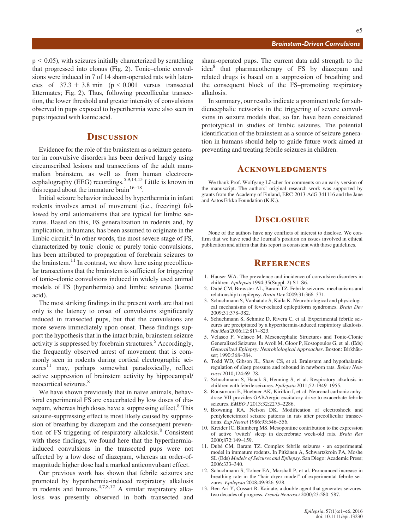#### Brainstem-Driven Convulsions

 $p < 0.05$ ), with seizures initially characterized by scratching that progressed into clonus (Fig. 2). Tonic–clonic convulsions were induced in 7 of 14 sham-operated rats with latencies of  $37.3 \pm 3.8$  min (p < 0.001 versus transected littermates; Fig. 2). Thus, following precollicular transection, the lower threshold and greater intensity of convulsions observed in pups exposed to hyperthermia were also seen in pups injected with kainic acid.

## **DISCUSSION**

Evidence for the role of the brainstem as a seizure generator in convulsive disorders has been derived largely using circumscribed lesions and transections of the adult mammalian brainstem, as well as from human electroencephalography (EEG) recordings.5,9,14,15 Little is known in this regard about the immature brain  $16-18$ .

Initial seizure behavior induced by hyperthermia in infant rodents involves arrest of movement (i.e., freezing) followed by oral automatisms that are typical for limbic seizures. Based on this, FS generalization in rodents and, by implication, in humans, has been assumed to originate in the limbic circuit. $^{2}$  In other words, the most severe stage of FS, characterized by tonic–clonic or purely tonic convulsions, has been attributed to propagation of forebrain seizures to the brainstem. $^{11}$  In contrast, we show here using precollicular transections that the brainstem is sufficient for triggering of tonic–clonic convulsions induced in widely used animal models of FS (hyperthermia) and limbic seizures (kainic acid).

The most striking findings in the present work are that not only is the latency to onset of convulsions significantly reduced in transected pups, but that the convulsions are more severe immediately upon onset. These findings support the hypothesis that in the intact brain, brainstem seizure activity is suppressed by forebrain structures.<sup>5</sup> Accordingly, the frequently observed arrest of movement that is commonly seen in rodents during cortical electrographic seizures $11$  may, perhaps somewhat paradoxically, reflect active suppression of brainstem activity by hippocampal/ neocortical seizures.<sup>8</sup>

We have shown previously that in naive animals, behavioral experimental FS are exacerbated by low doses of diazepam, whereas high doses have a suppressing effect.<sup>8</sup> This seizure-suppressing effect is most likely caused by suppression of breathing by diazepam and the consequent prevention of FS triggering of respiratory alkalosis.<sup>8</sup> Consistent with these findings, we found here that the hyperthermiainduced convulsions in the transected pups were not affected by a low dose of diazepam, whereas an order-ofmagnitude higher dose had a marked anticonvulsant effect.

Our previous work has shown that febrile seizures are promoted by hyperthermia-induced respiratory alkalosis in rodents and humans. $4,7,8,12$  A similar respiratory alkalosis was presently observed in both transected and

sham-operated pups. The current data add strength to the idea<sup>8</sup> that pharmacotherapy of FS by diazepam and related drugs is based on a suppression of breathing and the consequent block of the FS–promoting respiratory alkalosis.

In summary, our results indicate a prominent role for subdiencephalic networks in the triggering of severe convulsions in seizure models that, so far, have been considered prototypical in studies of limbic seizures. The potential identification of the brainstem as a source of seizure generation in humans should help to guide future work aimed at preventing and treating febrile seizures in children.

## **ACKNOWLEDGMENTS**

We thank Prof. Wolfgang Löscher for comments on an early version of the manuscript. The authors' original research work was supported by grants from the Academy of Finland, ERC-2013-AdG 341116 and the Jane and Aatos Erkko Foundation (K.K.).

## **DISCLOSURE**

None of the authors have any conflicts of interest to disclose. We confirm that we have read the Journal's position on issues involved in ethical publication and affirm that this report is consistent with those guidelines.

## **REFERENCES**

- 1. Hauser WA. The prevalence and incidence of convulsive disorders in children. Epilepsia 1994;35(Suppl. 2):S1–S6.
- 2. Dubé CM, Brewster AL, Baram TZ. Febrile seizures: mechanisms and relationship to epilepsy. Brain Dev 2009;31:366–371.
- 3. Schuchmann S, Vanhatalo S, Kaila K. Neurobiological and physiological mechanisms of fever-related epileptiform syndromes. Brain Dev 2009;31:378–382.
- 4. Schuchmann S, Schmitz D, Rivera C, et al. Experimental febrile seizures are precipitated by a hyperthermia-induced respiratory alkalosis. Nat Med 2006;12:817–823.
- 5. Velasco F, Velasco M. Mesencephalic Structures and Tonic-Clonic Generalized Seizures. In Avoli M, Gloor P, Kostopoulos G, et al. (Eds) Generalized Epilepsy: Neurobiological Approaches. Boston: Birkhäuser; 1990:368–384.
- 6. Todd WD, Gibson JL, Shaw CS, et al. Brainstem and hypothalamic regulation of sleep pressure and rebound in newborn rats. Behav Neurosci 2010;124:69–78.
- 7. Schuchmann S, Hauck S, Henning S, et al. Respiratory alkalosis in children with febrile seizures. Epilepsia 2011;52:1949–1955.
- 8. Ruusuvuori E, Huebner AK, Kirilkin I, et al. Neuronal carbonic anhydrase VII provides GABAergic excitatory drive to exacerbate febrile seizures. EMBO J 2013;32:2275-2286.
- 9. Browning RA, Nelson DK. Modification of electroshock and pentylenetetrazol seizure patterns in rats after precollicular transections. Exp Neurol 1986;93:546–556.
- 10. Kreider JC, Blumberg MS. Mesopontine contribution to the expression of active 'twitch' sleep in decerebrate week-old rats. Brain Res 2000;872:149–159.
- 11. Dubé CM, Baram TZ. Complex febrile seizures an experimental model in immature rodents. In Pitkänen A, Schwartzkroin PA, Moshe SL (Eds) Models of Seizures and Epilepsy. San Diego: Academic Press; 2006:333–340.
- 12. Schuchmann S, Tolner EA, Marshall P, et al. Pronounced increase in breathing rate in the "hair dryer model" of experimental febrile seizures. Epilepsia 2008;49:926–928.
- 13. Ben-Ari Y, Cossart R. Kainate, a double agent that generates seizures: two decades of progress. Trends Neurosci 2000;23:580–587.